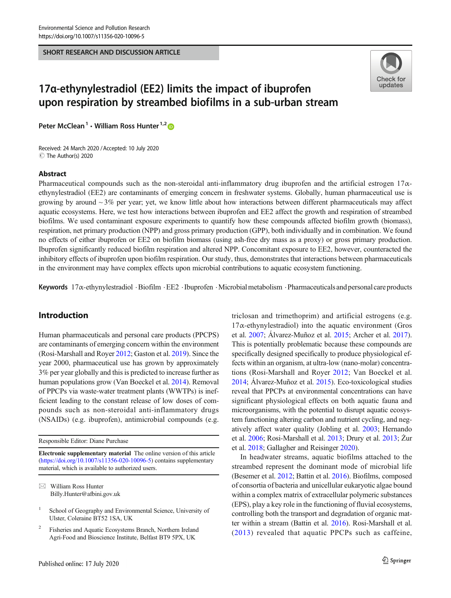SHORT RESEARCH AND DISCUSSION ARTICLE



# 17α-ethynylestradiol (EE2) limits the impact of ibuprofen upon respiration by streambed biofilms in a sub-urban stream

Peter McClean<sup>1</sup>  $\cdot$  William Ross Hunter<sup>1,2</sup>

Received: 24 March 2020 /Accepted: 10 July 2020 C The Author(s) 2020

#### Abstract

Pharmaceutical compounds such as the non-steroidal anti-inflammatory drug ibuprofen and the artificial estrogen  $17\alpha$ ethynylestradiol (EE2) are contaminants of emerging concern in freshwater systems. Globally, human pharmaceutical use is growing by around  $\sim$  3% per year; yet, we know little about how interactions between different pharmaceuticals may affect aquatic ecosystems. Here, we test how interactions between ibuprofen and EE2 affect the growth and respiration of streambed biofilms. We used contaminant exposure experiments to quantify how these compounds affected biofilm growth (biomass), respiration, net primary production (NPP) and gross primary production (GPP), both individually and in combination. We found no effects of either ibuprofen or EE2 on biofilm biomass (using ash-free dry mass as a proxy) or gross primary production. Ibuprofen significantly reduced biofilm respiration and altered NPP. Concomitant exposure to EE2, however, counteracted the inhibitory effects of ibuprofen upon biofilm respiration. Our study, thus, demonstrates that interactions between pharmaceuticals in the environment may have complex effects upon microbial contributions to aquatic ecosystem functioning.

Keywords 17α-ethynylestradiol .Biofilm .EE2 .Ibuprofen .Microbialmetabolism .Pharmaceuticals and personal care products

# Introduction

Human pharmaceuticals and personal care products (PPCPS) are contaminants of emerging concern within the environment (Rosi-Marshall and Royer [2012;](#page-5-0) Gaston et al. [2019](#page-4-0)). Since the year 2000, pharmaceutical use has grown by approximately 3% per year globally and this is predicted to increase further as human populations grow (Van Boeckel et al. [2014](#page-5-0)). Removal of PPCPs via waste-water treatment plants (WWTPs) is inefficient leading to the constant release of low doses of compounds such as non-steroidal anti-inflammatory drugs (NSAIDs) (e.g. ibuprofen), antimicrobial compounds (e.g.

Responsible Editor: Diane Purchase

Electronic supplementary material The online version of this article ([https://doi.org/10.1007/s11356-020-10096-5\)](https://doi.org/10.1007/s11356-020-10096-5) contains supplementary material, which is available to authorized users.

 $\boxtimes$  William Ross Hunter [Billy.Hunter@afbini.gov.uk](mailto:Billy.Hunter@afbini.gov.uk) triclosan and trimethoprim) and artificial estrogens (e.g.  $17\alpha$ -ethynylestradiol) into the aquatic environment (Gros et al. [2007](#page-5-0); Álvarez-Muñoz et al. [2015;](#page-4-0) Archer et al. [2017\)](#page-4-0). This is potentially problematic because these compounds are specifically designed specifically to produce physiological effects within an organism, at ultra-low (nano-molar) concentrations (Rosi-Marshall and Royer [2012](#page-5-0); Van Boeckel et al. [2014;](#page-5-0) Álvarez-Muñoz et al. [2015](#page-4-0)). Eco-toxicological studies reveal that PPCPs at environmental concentrations can have significant physiological effects on both aquatic fauna and microorganisms, with the potential to disrupt aquatic ecosystem functioning altering carbon and nutrient cycling, and negatively affect water quality (Jobling et al. [2003;](#page-5-0) Hernando et al. [2006](#page-5-0); Rosi-Marshall et al. [2013](#page-5-0); Drury et al. [2013;](#page-4-0) Żur et al. [2018](#page-5-0); Gallagher and Reisinger [2020](#page-4-0)).

In headwater streams, aquatic biofilms attached to the streambed represent the dominant mode of microbial life (Besemer et al. [2012](#page-4-0); Battin et al. [2016](#page-4-0)). Biofilms, composed of consortia of bacteria and unicellular eukaryotic algae bound within a complex matrix of extracellular polymeric substances (EPS), play a key role in the functioning of fluvial ecosystems, controlling both the transport and degradation of organic matter within a stream (Battin et al. [2016](#page-4-0)). Rosi-Marshall et al. ([2013](#page-5-0)) revealed that aquatic PPCPs such as caffeine,

School of Geography and Environmental Science, University of Ulster, Coleraine BT52 1SA, UK

<sup>2</sup> Fisheries and Aquatic Ecosystems Branch, Northern Ireland Agri-Food and Bioscience Institute, Belfast BT9 5PX, UK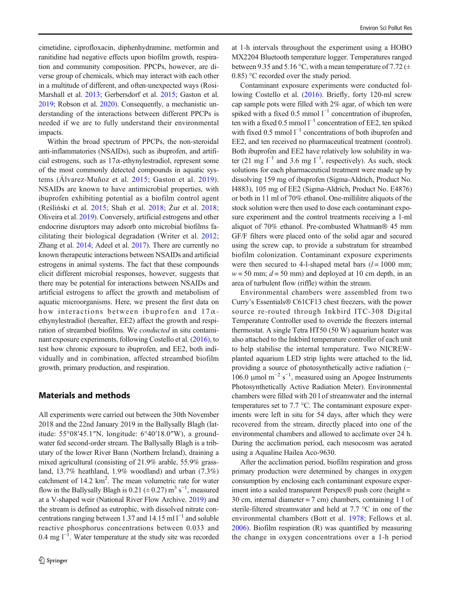cimetidine, ciprofloxacin, diphenhydramine, metformin and ranitidine had negative effects upon biofilm growth, respiration and community composition. PPCPs, however, are diverse group of chemicals, which may interact with each other in a multitude of different, and often-unexpected ways (Rosi-Marshall et al. [2013](#page-5-0); Gerbersdorf et al. [2015;](#page-4-0) Gaston et al. [2019;](#page-4-0) Robson et al. [2020\)](#page-5-0). Consequently, a mechanistic understanding of the interactions between different PPCPs is needed if we are to fully understand their environmental impacts.

Within the broad spectrum of PPCPs, the non-steroidal anti-inflammatories (NSAIDs), such as ibuprofen, and artificial estrogens, such as  $17\alpha$ -ethynylestradiol, represent some of the most commonly detected compounds in aquatic systems (Álvarez-Muñoz et al. [2015](#page-4-0); Gaston et al. [2019](#page-4-0)). NSAIDs are known to have antimicrobial properties, with ibuprofen exhibiting potential as a biofilm control agent (Reśliński et al. [2015;](#page-5-0) Shah et al. [2018](#page-5-0); Żur et al. [2018](#page-5-0); Oliveira et al. [2019](#page-5-0)). Conversely, artificial estrogens and other endocrine disruptors may adsorb onto microbial biofilms facilitating their biological degradation (Writer et al. [2012](#page-5-0); Zhang et al. [2014](#page-5-0); Adeel et al. [2017](#page-4-0)). There are currently no known therapeutic interactions between NSAIDs and artificial estrogens in animal systems. The fact that these compounds elicit different microbial responses, however, suggests that there may be potential for interactions between NSAIDs and artificial estrogens to affect the growth and metabolism of aquatic microorganisms. Here, we present the first data on how interactions between ibuprofen and  $17\alpha$ ethynylestradiol (hereafter, EE2) affect the growth and respiration of streambed biofilms. We conducted in situ contaminant exposure experiments, following Costello et al. ([2016](#page-4-0)), to test how chronic exposure to ibuprofen, and EE2, both individually and in combination, affected streambed biofilm growth, primary production, and respiration.

## Materials and methods

All experiments were carried out between the 30th November 2018 and the 22nd January 2019 in the Ballysally Blagh (latitude: 55°08′45.1″N, longitude: 6°40′18.0″W), a groundwater fed second-order stream. The Ballysally Blagh is a tributary of the lower River Bann (Northern Ireland), draining a mixed agricultural (consisting of 21.9% arable, 55.9% grassland, 13.7% heathland, 1.9% woodland) and urban (7.3%) catchment of 14.2 km<sup>2</sup>. The mean volumetric rate for water flow in the Ballysally Blagh is 0.21 ( $\pm$  0.27) m<sup>3</sup> s<sup>-1</sup>, measured at a V-shaped weir (National River Flow Archive. [2019](#page-5-0)) and the stream is defined as eutrophic, with dissolved nitrate concentrations ranging between 1.37 and 14.15 ml  $l^{-1}$  and soluble reactive phosphorus concentrations between 0.033 and 0.4 mg  $l^{-1}$ . Water temperature at the study site was recorded

at 1-h intervals throughout the experiment using a HOBO MX2204 Bluetooth temperature logger. Temperatures ranged between 9.35 and 5.16 °C, with a mean temperature of 7.72 ( $\pm$ 0.85) °C recorded over the study period.

Contaminant exposure experiments were conducted following Costello et al. ([2016\)](#page-4-0). Briefly, forty 120-ml screw cap sample pots were filled with 2% agar, of which ten were spiked with a fixed 0.5 mmol  $1^{-1}$  concentration of ibuprofen, ten with a fixed 0.5 mmol  $l^{-1}$  concentration of EE2, ten spiked with fixed 0.5 mmol  $l^{-1}$  concentrations of both ibuprofen and EE2, and ten received no pharmaceutical treatment (control). Both ibuprofen and EE2 have relatively low solubility in water (21 mg  $l^{-1}$  and 3.6 mg  $l^{-1}$ , respectively). As such, stock solutions for each pharmaceutical treatment were made up by dissolving 159 mg of ibuprofen (Sigma-Aldrich, Product No. I4883), 105 mg of EE2 (Sigma-Aldrich, Product No. E4876) or both in 11 ml of 70% ethanol. One-millilitre aliquots of the stock solution were then used to dose each contaminant exposure experiment and the control treatments receiving a 1-ml aliquot of 70% ethanol. Pre-combusted Whatman® 45 mm GF/F filters were placed onto of the solid agar and secured using the screw cap, to provide a substratum for streambed biofilm colonization. Contaminant exposure experiments were then secured to 4-l-shaped metal bars  $(l = 1000 \text{ mm})$ ;  $w = 50$  mm;  $d = 50$  mm) and deployed at 10 cm depth, in an area of turbulent flow (riffle) within the stream.

Environmental chambers were assembled from two Curry's Essentials® C61CF13 chest freezers, with the power source re-routed through Inkbird ITC-308 Digital Temperature Controller used to override the freezers internal thermostat. A single Tetra HT50 (50 W) aquarium heater was also attached to the Inkbird temperature controller of each unit to help stabilise the internal temperature. Two NICREWplanted aquarium LED strip lights were attached to the lid, providing a source of photosynthetically active radiation (− 106.0 μmol m<sup>-2</sup> s<sup>-1</sup>, measured using an Apogee Instruments Photosynthetically Active Radiation Meter). Environmental chambers were filled with 20 l of streamwater and the internal temperatures set to 7.7 °C. The contaminant exposure experiments were left in situ for 54 days, after which they were recovered from the stream, directly placed into one of the environmental chambers and allowed to acclimate over 24 h. During the acclimation period, each mesocosm was aerated using a Aqualine Hailea Aco-9630.

After the acclimation period, biofilm respiration and gross primary production were determined by changes in oxygen consumption by enclosing each contaminant exposure experiment into a sealed transparent Perspex® push core (height = 30 cm, internal diameter = 7 cm) chambers, containing 1 l of sterile-filtered streamwater and held at 7.7 °C in one of the environmental chambers (Bott et al. [1978;](#page-4-0) Fellows et al. [2006\)](#page-4-0). Biofilm respiration (R) was quantified by measuring the change in oxygen concentrations over a 1-h period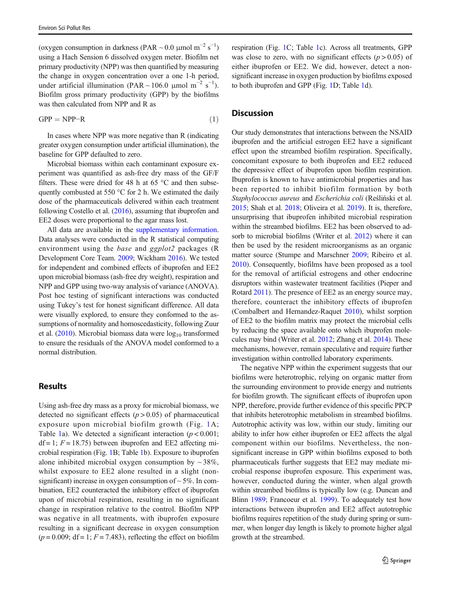(oxygen consumption in darkness (PAR ~ 0.0 µmol m<sup>-2</sup> s<sup>-1</sup>) using a Hach Sension 6 dissolved oxygen meter. Biofilm net primary productivity (NPP) was then quantified by measuring the change in oxygen concentration over a one 1-h period, under artificial illumination (PAR ~ 106.0 µmol m<sup>-2</sup> s<sup>-1</sup>). Biofilm gross primary productivity (GPP) by the biofilms was then calculated from NPP and R as

$$
GPP = NPP - R \tag{1}
$$

In cases where NPP was more negative than R (indicating greater oxygen consumption under artificial illumination), the baseline for GPP defaulted to zero.

Microbial biomass within each contaminant exposure experiment was quantified as ash-free dry mass of the GF/F filters. These were dried for 48 h at 65 °C and then subsequently combusted at 550 °C for 2 h. We estimated the daily dose of the pharmaceuticals delivered within each treatment following Costello et al. ([2016](#page-4-0)), assuming that ibuprofen and EE2 doses were proportional to the agar mass lost.

All data are available in the supplementary information. Data analyses were conducted in the R statistical computing environment using the *base* and *ggplot*2 packages (R Development Core Team. [2009](#page-5-0); Wickham [2016](#page-5-0)). We tested for independent and combined effects of ibuprofen and EE2 upon microbial biomass (ash-free dry weight), respiration and NPP and GPP using two-way analysis of variance (ANOVA). Post hoc testing of significant interactions was conducted using Tukey's test for honest significant difference. All data were visually explored, to ensure they conformed to the assumptions of normality and homoscedasticity, following Zuur et al.  $(2010)$ . Microbial biomass data were  $log_{10}$  transformed to ensure the residuals of the ANOVA model conformed to a normal distribution.

#### Results

Using ash-free dry mass as a proxy for microbial biomass, we detected no significant effects  $(p > 0.05)$  of pharmaceutical exposure upon microbial biofilm growth (Fig. [1A](#page-3-0); Table [1a](#page-3-0)). We detected a significant interaction ( $p < 0.001$ ;  $df = 1$ ;  $F = 18.75$ ) between ibuprofen and EE2 affecting microbial respiration (Fig. [1](#page-3-0)B; Table [1b](#page-3-0)). Exposure to ibuprofen alone inhibited microbial oxygen consumption by  $\sim$  38%, whilst exposure to EE2 alone resulted in a slight (nonsignificant) increase in oxygen consumption of  $\sim$  5%. In combination, EE2 counteracted the inhibitory effect of ibuprofen upon of microbial respiration, resulting in no significant change in respiration relative to the control. Biofilm NPP was negative in all treatments, with ibuprofen exposure resulting in a significant decrease in oxygen consumption  $(p = 0.009; df = 1; F = 7.483)$ , reflecting the effect on biofilm respiration (Fig. [1](#page-3-0)C; Table [1](#page-3-0)c). Across all treatments, GPP was close to zero, with no significant effects  $(p > 0.05)$  of either ibuprofen or EE2. We did, however, detect a nonsignificant increase in oxygen production by biofilms exposed to both ibuprofen and GPP (Fig. [1D](#page-3-0); Table [1d](#page-3-0)).

## **Discussion**

Our study demonstrates that interactions between the NSAID ibuprofen and the artificial estrogen EE2 have a significant effect upon the streambed biofilm respiration. Specifically, concomitant exposure to both ibuprofen and EE2 reduced the depressive effect of ibuprofen upon biofilm respiration. Ibuprofen is known to have antimicrobial properties and has been reported to inhibit biofilm formation by both Staphylococcus aureus and Escherichia coli (Reśliński et al. [2015;](#page-5-0) Shah et al. [2018;](#page-5-0) Oliveira et al. [2019\)](#page-5-0). It is, therefore, unsurprising that ibuprofen inhibited microbial respiration within the streambed biofilms. EE2 has been observed to ad-sorb to microbial biofilms (Writer et al. [2012](#page-5-0)) where it can then be used by the resident microorganisms as an organic matter source (Stumpe and Marschner [2009](#page-5-0); Ribeiro et al. [2010\)](#page-5-0). Consequently, biofilms have been proposed as a tool for the removal of artificial estrogens and other endocrine disruptors within wastewater treatment facilities (Pieper and Rotard [2011\)](#page-5-0). The presence of EE2 as an energy source may, therefore, counteract the inhibitory effects of ibuprofen (Combalbert and Hernandez-Raquet [2010\)](#page-4-0), whilst sorption of EE2 to the biofilm matrix may protect the microbial cells by reducing the space available onto which ibuprofen molecules may bind (Writer et al. [2012](#page-5-0); Zhang et al. [2014\)](#page-5-0). These mechanisms, however, remain speculative and require further investigation within controlled laboratory experiments.

The negative NPP within the experiment suggests that our biofilms were heterotrophic, relying on organic matter from the surrounding environment to provide energy and nutrients for biofilm growth. The significant effects of ibuprofen upon NPP, therefore, provide further evidence of this specific PPCP that inhibits heterotrophic metabolism in streambed biofilms. Autotrophic activity was low, within our study, limiting our ability to infer how either ibuprofen or EE2 affects the algal component within our biofilms. Nevertheless, the nonsignificant increase in GPP within biofilms exposed to both pharmaceuticals further suggests that EE2 may mediate microbial response ibuprofen exposure. This experiment was, however, conducted during the winter, when algal growth within streambed biofilms is typically low (e.g. Duncan and Blinn [1989;](#page-4-0) Francoeur et al. [1999](#page-4-0)). To adequately test how interactions between ibuprofen and EE2 affect autotrophic biofilms requires repetition of the study during spring or summer, when longer day length is likely to promote higher algal growth at the streambed.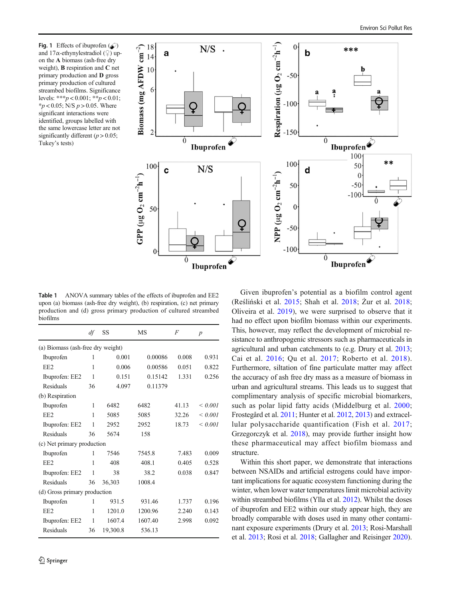<span id="page-3-0"></span>Fig. 1 Effects of ibuprofen  $(\mathcal{L})$ and 17 $\alpha$ -ethynylestradiol (♀) upon the A biomass (ash-free dry weight), B respiration and C net primary production and D gross primary production of cultured streambed biofilms. Significance levels: \*\*\* $p < 0.001$ ; \*\* $p < 0.01$ ;  $*p < 0.05$ ; N/S  $p > 0.05$ . Where significant interactions were identified, groups labelled with the same lowercase letter are not significantly different ( $p > 0.05$ ; Tukey's tests)



Table 1 ANOVA summary tables of the effects of ibuprofen and EE2 upon (a) biomass (ash-free dry weight), (b) respiration, (c) net primary production and (d) gross primary production of cultured streambed biofilms

|                                   | df           | SS       | MS      | F     | $\boldsymbol{p}$ |
|-----------------------------------|--------------|----------|---------|-------|------------------|
| (a) Biomass (ash-free dry weight) |              |          |         |       |                  |
| Ibuprofen                         | 1            | 0.001    | 0.00086 | 0.008 | 0.931            |
| EE <sub>2</sub>                   | 1            | 0.006    | 0.00586 | 0.051 | 0.822            |
| Ibuprofen: EE2                    | 1            | 0.151    | 0.15142 | 1.331 | 0.256            |
| Residuals                         | 36           | 4.097    | 0.11379 |       |                  |
| (b) Respiration                   |              |          |         |       |                  |
| Ibuprofen                         | 1            | 6482     | 6482    | 41.13 | ${}_{0.001}$     |
| EE <sub>2</sub>                   | 1            | 5085     | 5085    | 32.26 | ${}< 0.001$      |
| Ibuprofen: EE2                    | 1            | 2952     | 2952    | 18.73 | ${}< 0.001$      |
| Residuals                         | 36           | 5674     | 158     |       |                  |
| (c) Net primary production        |              |          |         |       |                  |
| Ibuprofen                         | 1            | 7546     | 7545.8  | 7.483 | 0.009            |
| EE <sub>2</sub>                   | 1            | 408      | 408.1   | 0.405 | 0.528            |
| Ibuprofen: EE2                    | 1            | 38       | 38.2    | 0.038 | 0.847            |
| Residuals                         | 36           | 36,303   | 1008.4  |       |                  |
| (d) Gross primary production      |              |          |         |       |                  |
| Ibuprofen                         | 1            | 931.5    | 931.46  | 1.737 | 0.196            |
| EE <sub>2</sub>                   | 1            | 1201.0   | 1200.96 | 2.240 | 0.143            |
| Ibuprofen: EE2                    | $\mathbf{1}$ | 1607.4   | 1607.40 | 2.998 | 0.092            |
| Residuals                         | 36           | 19,300.8 | 536.13  |       |                  |

Given ibuprofen's potential as a biofilm control agent (Reśliński et al. [2015;](#page-5-0) Shah et al. [2018;](#page-5-0) Żur et al. [2018;](#page-5-0) Oliveira et al. [2019](#page-5-0)), we were surprised to observe that it had no effect upon biofilm biomass within our experiments. This, however, may reflect the development of microbial resistance to anthropogenic stressors such as pharmaceuticals in agricultural and urban catchments to (e.g. Drury et al. [2013;](#page-4-0) Cai et al. [2016;](#page-4-0) Qu et al. [2017;](#page-5-0) Roberto et al. [2018](#page-5-0)). Furthermore, siltation of fine particulate matter may affect the accuracy of ash free dry mass as a measure of biomass in urban and agricultural streams. This leads us to suggest that complimentary analysis of specific microbial biomarkers, such as polar lipid fatty acids (Middelburg et al. [2000;](#page-5-0) Frostegård et al. [2011](#page-4-0); Hunter et al. [2012,](#page-5-0) [2013\)](#page-5-0) and extracellular polysaccharide quantification (Fish et al. [2017;](#page-4-0) Grzegorczyk et al. [2018\)](#page-5-0), may provide further insight how these pharmaceutical may affect biofilm biomass and structure.

Within this short paper, we demonstrate that interactions between NSAIDs and artificial estrogens could have important implications for aquatic ecosystem functioning during the winter, when lower water temperatures limit microbial activity within streambed biofilms (Ylla et al. [2012](#page-5-0)). Whilst the doses of ibuprofen and EE2 within our study appear high, they are broadly comparable with doses used in many other contaminant exposure experiments (Drury et al. [2013;](#page-4-0) Rosi-Marshall et al. [2013;](#page-5-0) Rosi et al. [2018;](#page-5-0) Gallagher and Reisinger [2020\)](#page-4-0).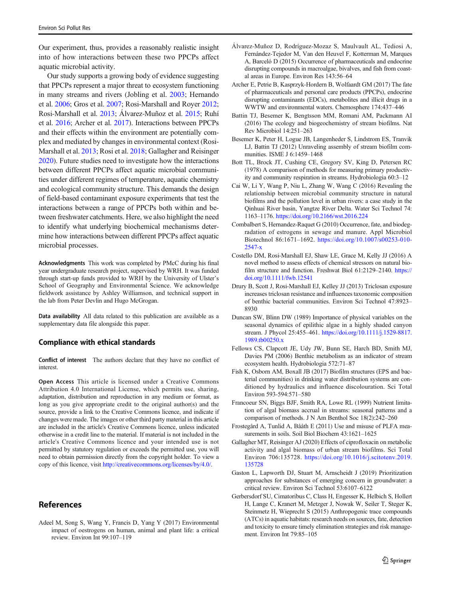<span id="page-4-0"></span>Our experiment, thus, provides a reasonably realistic insight into of how interactions between these two PPCPs affect aquatic microbial activity.

Our study supports a growing body of evidence suggesting that PPCPs represent a major threat to ecosystem functioning in many streams and rivers (Jobling et al. [2003](#page-5-0); Hernando et al. [2006](#page-5-0); Gros et al. [2007](#page-5-0); Rosi-Marshall and Royer [2012](#page-5-0); Rosi-Marshall et al. [2013;](#page-5-0) Álvarez-Muñoz et al. 2015; Ruhí et al. [2016;](#page-5-0) Archer et al. 2017). Interactions between PPCPs and their effects within the environment are potentially complex and mediated by changes in environmental context (Rosi-Marshall et al. [2013](#page-5-0); Rosi et al. [2018](#page-5-0); Gallagher and Reisinger 2020). Future studies need to investigate how the interactions between different PPCPs affect aquatic microbial communities under different regimes of temperature, aquatic chemistry and ecological community structure. This demands the design of field-based contaminant exposure experiments that test the interactions between a range of PPCPs both within and between freshwater catchments. Here, we also highlight the need to identify what underlying biochemical mechanisms determine how interactions between different PPCPs affect aquatic microbial processes.

Acknowledgments This work was completed by PMcC during his final year undergraduate research project, supervised by WRH. It was funded through start-up funds provided to WRH by the University of Ulster's School of Geography and Environmental Science. We acknowledge fieldwork assistance by Ashley Williamson, and technical support in the lab from Peter Devlin and Hugo McGrogan.

Data availability All data related to this publication are available as a supplementary data file alongside this paper.

#### Compliance with ethical standards

Conflict of interest The authors declare that they have no conflict of interest.

Open Access This article is licensed under a Creative Commons Attribution 4.0 International License, which permits use, sharing, adaptation, distribution and reproduction in any medium or format, as long as you give appropriate credit to the original author(s) and the source, provide a link to the Creative Commons licence, and indicate if changes were made. The images or other third party material in this article are included in the article's Creative Commons licence, unless indicated otherwise in a credit line to the material. If material is not included in the article's Creative Commons licence and your intended use is not permitted by statutory regulation or exceeds the permitted use, you will need to obtain permission directly from the copyright holder. To view a copy of this licence, visit [http://creativecommons.org/licenses/by/4.0/.](https://doi.org/)

## References

Adeel M, Song S, Wang Y, Francis D, Yang Y (2017) Environmental impact of oestrogens on human, animal and plant life: a critical review. Environ Int 99:107–119

- Álvarez-Muñoz D, Rodríguez-Mozaz S, Maulvault AL, Tediosi A, Fernández-Tejedor M, Van den Heuvel F, Kotterman M, Marques A, Barceló D (2015) Occurrence of pharmaceuticals and endocrine disrupting compounds in macroalgae, bivalves, and fish from coastal areas in Europe. Environ Res 143:56–64
- Archer E, Petrie B, Kasprzyk-Hordern B, Wolfaardt GM (2017) The fate of pharmaceuticals and personal care products (PPCPs), endocrine disrupting contaminants (EDCs), metabolites and illicit drugs in a WWTW and environmental waters. Chemosphere 174:437–446
- Battin TJ, Besemer K, Bengtsson MM, Romani AM, Packmann AI (2016) The ecology and biogeochemistry of stream biofilms. Nat Rev Microbiol 14:251–263
- Besemer K, Peter H, Logue JB, Langenheder S, Lindstrom ES, Tranvik LJ, Battin TJ (2012) Unraveling assembly of stream biofilm communities. ISME J 6:1459–1468
- Bott TL, Brock JT, Cushing CE, Gregory SV, King D, Petersen RC (1978) A comparison of methods for measuring primary productivity and community respiration in streams. Hydrobiologia 60:3–12
- Cai W, Li Y, Wang P, Niu L, Zhang W, Wang C (2016) Revealing the relationship between microbial community structure in natural biofilms and the pollution level in urban rivers: a case study in the Qinhuai River basin, Yangtze River Delta. Water Sci Technol 74: 1163–1176. <https://doi.org/10.2166/wst.2016.224>
- Combalbert S, Hernandez-Raquet G (2010) Occurrence, fate, and biodegradation of estrogens in sewage and manure. Appl Microbiol Biotechnol 86:1671–1692. [https://doi.org/10.1007/s00253-010-](https://doi.org/10.1007/s00253-010-2547-x) [2547-x](https://doi.org/10.1007/s00253-010-2547-x)
- Costello DM, Rosi-Marshall EJ, Shaw LE, Grace M, Kelly JJ (2016) A novel method to assess effects of chemical stressors on natural biofilm structure and function. Freshwat Biol 61:2129–2140. [https://](https://doi.org/10.1111/fwb.12541) [doi.org/10.1111/fwb.12541](https://doi.org/10.1111/fwb.12541)
- Drury B, Scott J, Rosi-Marshall EJ, Kelley JJ (2013) Triclosan exposure increases triclosan resistance and influences taxonomic composition of benthic bacterial communities. Environ Sci Technol 47:8923– 8930
- Duncan SW, Blinn DW (1989) Importance of physical variables on the seasonal dynamics of epilithic algae in a highly shaded canyon stream. J Phycol 25:455–461. [https://doi.org/10.1111/j.1529-8817.](https://doi.org/10.1111/j.1529-8817.1989.tb00250.x) [1989.tb00250.x](https://doi.org/10.1111/j.1529-8817.1989.tb00250.x)
- Fellows CS, Clapcott JE, Udy JW, Bunn SE, Harch BD, Smith MJ, Davies PM (2006) Benthic metabolism as an indicator of stream ecosystem health. Hydrobiologia 572:71–87
- Fish K, Osborn AM, Boxall JB (2017) Biofilm structures (EPS and bacterial communities) in drinking water distribution systems are conditioned by hydraulics and influence discolouration. Sci Total Environ 593-594:571–580
- Francoeur SN, Biggs BJF, Smith RA, Lowe RL (1999) Nutrient limitation of algal biomass accrual in streams: seasonal patterns and a comparison of methods. J N Am Benthol Soc 18(2):242–260
- Frostegård A, Tunlid A, Bååth E (2011) Use and misuse of PLFA measurements in soils. Soil Biol Biochem 43:1621–1625
- Gallagher MT, Reisinger AJ (2020) Effects of ciprofloxacin on metabolic activity and algal biomass of urban stream biofilms. Sci Total Environ 706:135728. [https://doi.org/10.1016/j.scitotenv.2019.](https://doi.org/10.1016/j.scitotenv.2019.135728) [135728](https://doi.org/10.1016/j.scitotenv.2019.135728)
- Gaston L, Lapworth DJ, Stuart M, Arnscheidt J (2019) Prioritization approaches for substances of emerging concern in groundwater: a critical review. Environ Sci Technol 53:6107–6122
- Gerbersdorf SU, Cimatoribus C, Class H, Engesser K, Helbich S, Hollert H, Lange C, Kranert M, Metzger J, Nowak W, Seiler T, Steger K, Steinmetz H, Wieprecht S (2015) Anthropogenic trace compounds (ATCs) in aquatic habitats: research needs on sources, fate, detection and toxicity to ensure timely elimination strategies and risk management. Environ Int 79:85–105